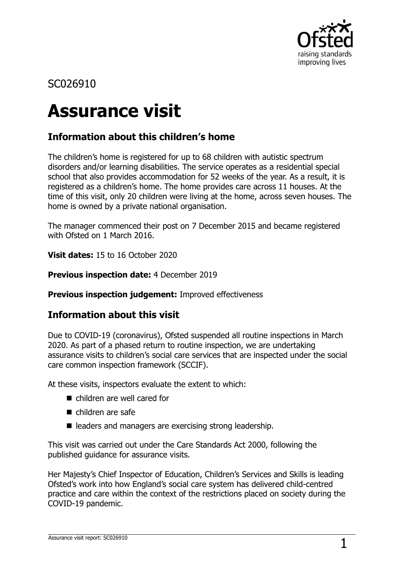

# SC026910

# **Assurance visit**

## **Information about this children's home**

The children's home is registered for up to 68 children with autistic spectrum disorders and/or learning disabilities. The service operates as a residential special school that also provides accommodation for 52 weeks of the year. As a result, it is registered as a children's home. The home provides care across 11 houses. At the time of this visit, only 20 children were living at the home, across seven houses. The home is owned by a private national organisation.

The manager commenced their post on 7 December 2015 and became registered with Ofsted on 1 March 2016.

**Visit dates:** 15 to 16 October 2020

**Previous inspection date:** 4 December 2019

**Previous inspection judgement:** Improved effectiveness

## **Information about this visit**

Due to COVID-19 (coronavirus), Ofsted suspended all routine inspections in March 2020. As part of a phased return to routine inspection, we are undertaking assurance visits to children's social care services that are inspected under the social care common inspection framework (SCCIF).

At these visits, inspectors evaluate the extent to which:

- children are well cared for
- $\blacksquare$  children are safe
- leaders and managers are exercising strong leadership.

This visit was carried out under the Care Standards Act 2000, following the published guidance for assurance visits.

Her Majesty's Chief Inspector of Education, Children's Services and Skills is leading Ofsted's work into how England's social care system has delivered child-centred practice and care within the context of the restrictions placed on society during the COVID-19 pandemic.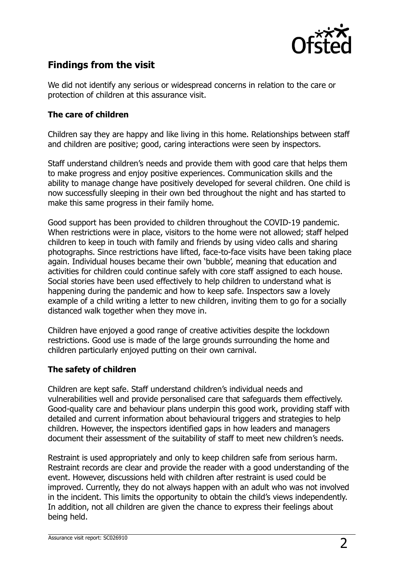

## **Findings from the visit**

We did not identify any serious or widespread concerns in relation to the care or protection of children at this assurance visit.

#### **The care of children**

Children say they are happy and like living in this home. Relationships between staff and children are positive; good, caring interactions were seen by inspectors.

Staff understand children's needs and provide them with good care that helps them to make progress and enjoy positive experiences. Communication skills and the ability to manage change have positively developed for several children. One child is now successfully sleeping in their own bed throughout the night and has started to make this same progress in their family home.

Good support has been provided to children throughout the COVID-19 pandemic. When restrictions were in place, visitors to the home were not allowed; staff helped children to keep in touch with family and friends by using video calls and sharing photographs. Since restrictions have lifted, face-to-face visits have been taking place again. Individual houses became their own 'bubble', meaning that education and activities for children could continue safely with core staff assigned to each house. Social stories have been used effectively to help children to understand what is happening during the pandemic and how to keep safe. Inspectors saw a lovely example of a child writing a letter to new children, inviting them to go for a socially distanced walk together when they move in.

Children have enjoyed a good range of creative activities despite the lockdown restrictions. Good use is made of the large grounds surrounding the home and children particularly enjoyed putting on their own carnival.

### **The safety of children**

Children are kept safe. Staff understand children's individual needs and vulnerabilities well and provide personalised care that safeguards them effectively. Good-quality care and behaviour plans underpin this good work, providing staff with detailed and current information about behavioural triggers and strategies to help children. However, the inspectors identified gaps in how leaders and managers document their assessment of the suitability of staff to meet new children's needs.

Restraint is used appropriately and only to keep children safe from serious harm. Restraint records are clear and provide the reader with a good understanding of the event. However, discussions held with children after restraint is used could be improved. Currently, they do not always happen with an adult who was not involved in the incident. This limits the opportunity to obtain the child's views independently. In addition, not all children are given the chance to express their feelings about being held.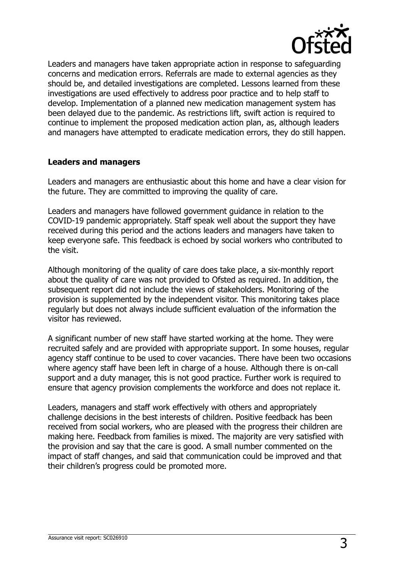

Leaders and managers have taken appropriate action in response to safeguarding concerns and medication errors. Referrals are made to external agencies as they should be, and detailed investigations are completed. Lessons learned from these investigations are used effectively to address poor practice and to help staff to develop. Implementation of a planned new medication management system has been delayed due to the pandemic. As restrictions lift, swift action is required to continue to implement the proposed medication action plan, as, although leaders and managers have attempted to eradicate medication errors, they do still happen.

#### **Leaders and managers**

Leaders and managers are enthusiastic about this home and have a clear vision for the future. They are committed to improving the quality of care.

Leaders and managers have followed government guidance in relation to the COVID-19 pandemic appropriately. Staff speak well about the support they have received during this period and the actions leaders and managers have taken to keep everyone safe. This feedback is echoed by social workers who contributed to the visit.

Although monitoring of the quality of care does take place, a six-monthly report about the quality of care was not provided to Ofsted as required. In addition, the subsequent report did not include the views of stakeholders. Monitoring of the provision is supplemented by the independent visitor. This monitoring takes place regularly but does not always include sufficient evaluation of the information the visitor has reviewed.

A significant number of new staff have started working at the home. They were recruited safely and are provided with appropriate support. In some houses, regular agency staff continue to be used to cover vacancies. There have been two occasions where agency staff have been left in charge of a house. Although there is on-call support and a duty manager, this is not good practice. Further work is required to ensure that agency provision complements the workforce and does not replace it.

Leaders, managers and staff work effectively with others and appropriately challenge decisions in the best interests of children. Positive feedback has been received from social workers, who are pleased with the progress their children are making here. Feedback from families is mixed. The majority are very satisfied with the provision and say that the care is good. A small number commented on the impact of staff changes, and said that communication could be improved and that their children's progress could be promoted more.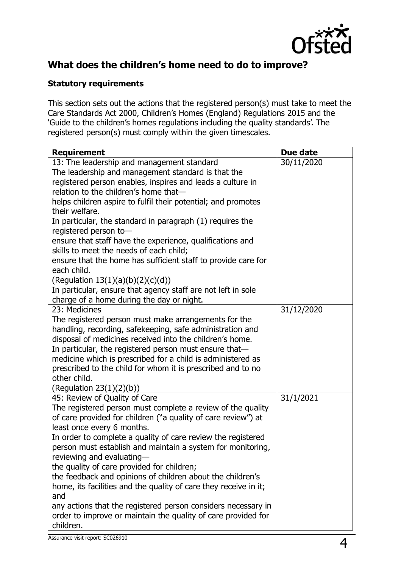

## **What does the children's home need to do to improve?**

## **Statutory requirements**

This section sets out the actions that the registered person(s) must take to meet the Care Standards Act 2000, Children's Homes (England) Regulations 2015 and the 'Guide to the children's homes regulations including the quality standards'. The registered person(s) must comply within the given timescales.

| <b>Requirement</b>                                                                                                    | Due date   |
|-----------------------------------------------------------------------------------------------------------------------|------------|
| 13: The leadership and management standard                                                                            | 30/11/2020 |
| The leadership and management standard is that the                                                                    |            |
| registered person enables, inspires and leads a culture in                                                            |            |
| relation to the children's home that-                                                                                 |            |
| helps children aspire to fulfil their potential; and promotes                                                         |            |
| their welfare.                                                                                                        |            |
| In particular, the standard in paragraph (1) requires the                                                             |            |
| registered person to-                                                                                                 |            |
| ensure that staff have the experience, qualifications and                                                             |            |
| skills to meet the needs of each child;                                                                               |            |
| ensure that the home has sufficient staff to provide care for                                                         |            |
| each child.                                                                                                           |            |
| (Regulation $13(1)(a)(b)(2)(c)(d))$                                                                                   |            |
| In particular, ensure that agency staff are not left in sole                                                          |            |
| charge of a home during the day or night.                                                                             |            |
| 23: Medicines                                                                                                         | 31/12/2020 |
| The registered person must make arrangements for the                                                                  |            |
| handling, recording, safekeeping, safe administration and                                                             |            |
| disposal of medicines received into the children's home.                                                              |            |
| In particular, the registered person must ensure that-<br>medicine which is prescribed for a child is administered as |            |
| prescribed to the child for whom it is prescribed and to no                                                           |            |
| other child.                                                                                                          |            |
| (Regulation $23(1)(2)(b)$ )                                                                                           |            |
| 45: Review of Quality of Care                                                                                         | 31/1/2021  |
| The registered person must complete a review of the quality                                                           |            |
| of care provided for children ("a quality of care review") at                                                         |            |
| least once every 6 months.                                                                                            |            |
| In order to complete a quality of care review the registered                                                          |            |
| person must establish and maintain a system for monitoring,                                                           |            |
| reviewing and evaluating-                                                                                             |            |
| the quality of care provided for children;                                                                            |            |
| the feedback and opinions of children about the children's                                                            |            |
| home, its facilities and the quality of care they receive in it;                                                      |            |
| and                                                                                                                   |            |
| any actions that the registered person considers necessary in                                                         |            |
| order to improve or maintain the quality of care provided for                                                         |            |
| children.                                                                                                             |            |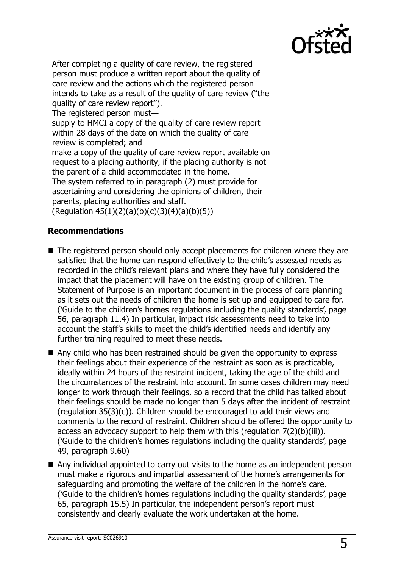

| After completing a quality of care review, the registered       |  |
|-----------------------------------------------------------------|--|
| person must produce a written report about the quality of       |  |
| care review and the actions which the registered person         |  |
| intends to take as a result of the quality of care review ("the |  |
| quality of care review report").                                |  |
| The registered person must-                                     |  |
| supply to HMCI a copy of the quality of care review report      |  |
| within 28 days of the date on which the quality of care         |  |
| review is completed; and                                        |  |
| make a copy of the quality of care review report available on   |  |
| request to a placing authority, if the placing authority is not |  |
| the parent of a child accommodated in the home.                 |  |
| The system referred to in paragraph (2) must provide for        |  |
| ascertaining and considering the opinions of children, their    |  |
| parents, placing authorities and staff.                         |  |
| (Regulation $45(1)(2)(a)(b)(c)(3)(4)(a)(b)(5))$                 |  |

## **Recommendations**

■ The registered person should only accept placements for children where they are satisfied that the home can respond effectively to the child's assessed needs as recorded in the child's relevant plans and where they have fully considered the impact that the placement will have on the existing group of children. The Statement of Purpose is an important document in the process of care planning as it sets out the needs of children the home is set up and equipped to care for. ('Guide to the children's homes regulations including the quality standards', page 56, paragraph 11.4) In particular, impact risk assessments need to take into account the staff's skills to meet the child's identified needs and identify any further training required to meet these needs.

■ Any child who has been restrained should be given the opportunity to express their feelings about their experience of the restraint as soon as is practicable, ideally within 24 hours of the restraint incident, taking the age of the child and the circumstances of the restraint into account. In some cases children may need longer to work through their feelings, so a record that the child has talked about their feelings should be made no longer than 5 days after the incident of restraint (regulation 35(3)(c)). Children should be encouraged to add their views and comments to the record of restraint. Children should be offered the opportunity to access an advocacy support to help them with this (regulation 7(2)(b)(iii)). ('Guide to the children's homes regulations including the quality standards', page 49, paragraph 9.60)

■ Any individual appointed to carry out visits to the home as an independent person must make a rigorous and impartial assessment of the home's arrangements for safeguarding and promoting the welfare of the children in the home's care. ('Guide to the children's homes regulations including the quality standards', page 65, paragraph 15.5) In particular, the independent person's report must consistently and clearly evaluate the work undertaken at the home.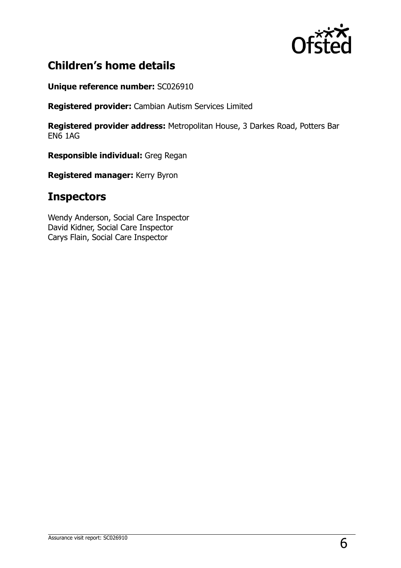

# **Children's home details**

**Unique reference number:** SC026910

**Registered provider:** Cambian Autism Services Limited

**Registered provider address:** Metropolitan House, 3 Darkes Road, Potters Bar EN6 1AG

**Responsible individual:** Greg Regan

**Registered manager:** Kerry Byron

# **Inspectors**

Wendy Anderson, Social Care Inspector David Kidner, Social Care Inspector Carys Flain, Social Care Inspector